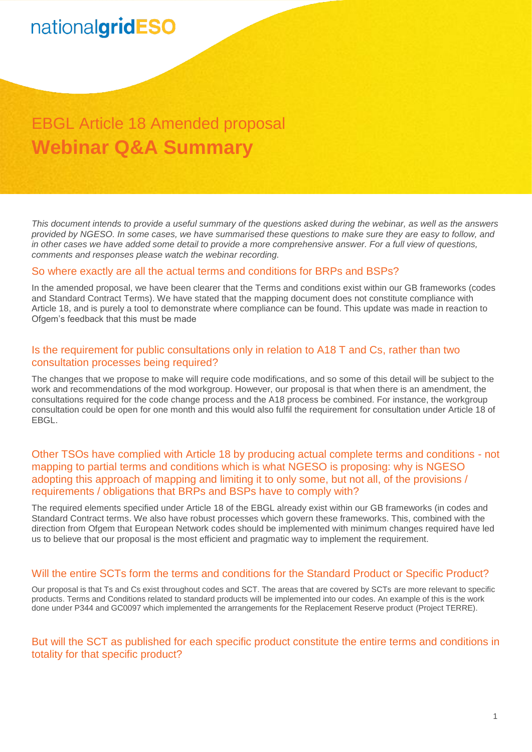## nationalgridESO

### EBGL Article 18 Amended proposal **Webinar Q&A Summary**

*This document intends to provide a useful summary of the questions asked during the webinar, as well as the answers provided by NGESO. In some cases, we have summarised these questions to make sure they are easy to follow, and in other cases we have added some detail to provide a more comprehensive answer. For a full view of questions, comments and responses please watch the webinar recording.*

#### So where exactly are all the actual terms and conditions for BRPs and BSPs?

In the amended proposal, we have been clearer that the Terms and conditions exist within our GB frameworks (codes and Standard Contract Terms). We have stated that the mapping document does not constitute compliance with Article 18, and is purely a tool to demonstrate where compliance can be found. This update was made in reaction to Ofgem's feedback that this must be made

### Is the requirement for public consultations only in relation to A18 T and Cs, rather than two consultation processes being required?

The changes that we propose to make will require code modifications, and so some of this detail will be subject to the work and recommendations of the mod workgroup. However, our proposal is that when there is an amendment, the consultations required for the code change process and the A18 process be combined. For instance, the workgroup consultation could be open for one month and this would also fulfil the requirement for consultation under Article 18 of **FBGL.** 

### Other TSOs have complied with Article 18 by producing actual complete terms and conditions - not mapping to partial terms and conditions which is what NGESO is proposing: why is NGESO adopting this approach of mapping and limiting it to only some, but not all, of the provisions / requirements / obligations that BRPs and BSPs have to comply with?

The required elements specified under Article 18 of the EBGL already exist within our GB frameworks (in codes and Standard Contract terms. We also have robust processes which govern these frameworks. This, combined with the direction from Ofgem that European Network codes should be implemented with minimum changes required have led us to believe that our proposal is the most efficient and pragmatic way to implement the requirement.

### Will the entire SCTs form the terms and conditions for the Standard Product or Specific Product?

Our proposal is that Ts and Cs exist throughout codes and SCT. The areas that are covered by SCTs are more relevant to specific products. Terms and Conditions related to standard products will be implemented into our codes. An example of this is the work done under P344 and GC0097 which implemented the arrangements for the Replacement Reserve product (Project TERRE).

### But will the SCT as published for each specific product constitute the entire terms and conditions in totality for that specific product?